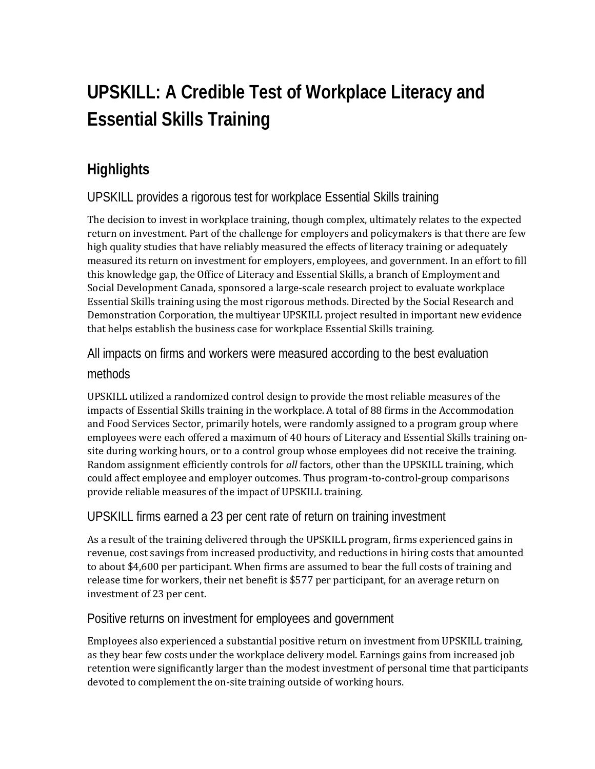# **UPSKILL: A Credible Test of Workplace Literacy and Essential Skills Training**

# **Highlights**

### UPSKILL provides a rigorous test for workplace Essential Skills training

The decision to invest in workplace training, though complex, ultimately relates to the expected return on investment. Part of the challenge for employers and policymakers is that there are few high quality studies that have reliably measured the effects of literacy training or adequately measured its return on investment for employers, employees, and government. In an effort to fill this knowledge gap, the Office of Literacy and Essential Skills, a branch of Employment and Social Development Canada, sponsored a large-scale research project to evaluate workplace Essential Skills training using the most rigorous methods. Directed by the Social Research and Demonstration Corporation, the multiyear UPSKILL project resulted in important new evidence that helps establish the business case for workplace Essential Skills training.

# All impacts on firms and workers were measured according to the best evaluation

#### methods

UPSKILL utilized a randomized control design to provide the most reliable measures of the impacts of Essential Skills training in the workplace. A total of 88 firms in the Accommodation and Food Services Sector, primarily hotels, were randomly assigned to a program group where employees were each offered a maximum of 40 hours of Literacy and Essential Skills training onsite during working hours, or to a control group whose employees did not receive the training. Random assignment efficiently controls for *all* factors, other than the UPSKILL training, which could affect employee and employer outcomes. Thus program-to-control-group comparisons provide reliable measures of the impact of UPSKILL training.

### UPSKILL firms earned a 23 per cent rate of return on training investment

As a result of the training delivered through the UPSKILL program, firms experienced gains in revenue, cost savings from increased productivity, and reductions in hiring costs that amounted to about \$4,600 per participant. When firms are assumed to bear the full costs of training and release time for workers, their net benefit is \$577 per participant, for an average return on investment of 23 per cent.

#### Positive returns on investment for employees and government

Employees also experienced a substantial positive return on investment from UPSKILL training, as they bear few costs under the workplace delivery model. Earnings gains from increased job retention were significantly larger than the modest investment of personal time that participants devoted to complement the on-site training outside of working hours.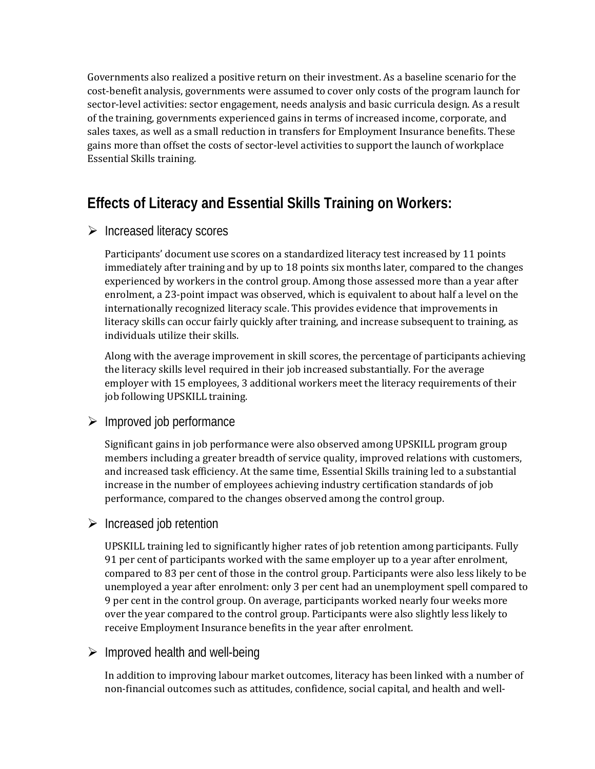Governments also realized a positive return on their investment. As a baseline scenario for the cost-benefit analysis, governments were assumed to cover only costs of the program launch for sector-level activities: sector engagement, needs analysis and basic curricula design. As a result of the training, governments experienced gains in terms of increased income, corporate, and sales taxes, as well as a small reduction in transfers for Employment Insurance benefits. These gains more than offset the costs of sector-level activities to support the launch of workplace Essential Skills training.

# **Effects of Literacy and Essential Skills Training on Workers:**

#### $\triangleright$  Increased literacy scores

Participants' document use scores on a standardized literacy test increased by 11 points immediately after training and by up to 18 points six months later, compared to the changes experienced by workers in the control group. Among those assessed more than a year after enrolment, a 23-point impact was observed, which is equivalent to about half a level on the internationally recognized literacy scale. This provides evidence that improvements in literacy skills can occur fairly quickly after training, and increase subsequent to training, as individuals utilize their skills.

Along with the average improvement in skill scores, the percentage of participants achieving the literacy skills level required in their job increased substantially. For the average employer with 15 employees, 3 additional workers meet the literacy requirements of their job following UPSKILL training.

#### $\triangleright$  Improved job performance

Significant gains in job performance were also observed among UPSKILL program group members including a greater breadth of service quality, improved relations with customers, and increased task efficiency. At the same time, Essential Skills training led to a substantial increase in the number of employees achieving industry certification standards of job performance, compared to the changes observed among the control group.

#### $\triangleright$  Increased job retention

UPSKILL training led to significantly higher rates of job retention among participants. Fully 91 per cent of participants worked with the same employer up to a year after enrolment, compared to 83 per cent of those in the control group. Participants were also less likely to be unemployed a year after enrolment: only 3 per cent had an unemployment spell compared to 9 per cent in the control group. On average, participants worked nearly four weeks more over the year compared to the control group. Participants were also slightly less likely to receive Employment Insurance benefits in the year after enrolment.

#### $\triangleright$  Improved health and well-being

In addition to improving labour market outcomes, literacy has been linked with a number of non-financial outcomes such as attitudes, confidence, social capital, and health and well-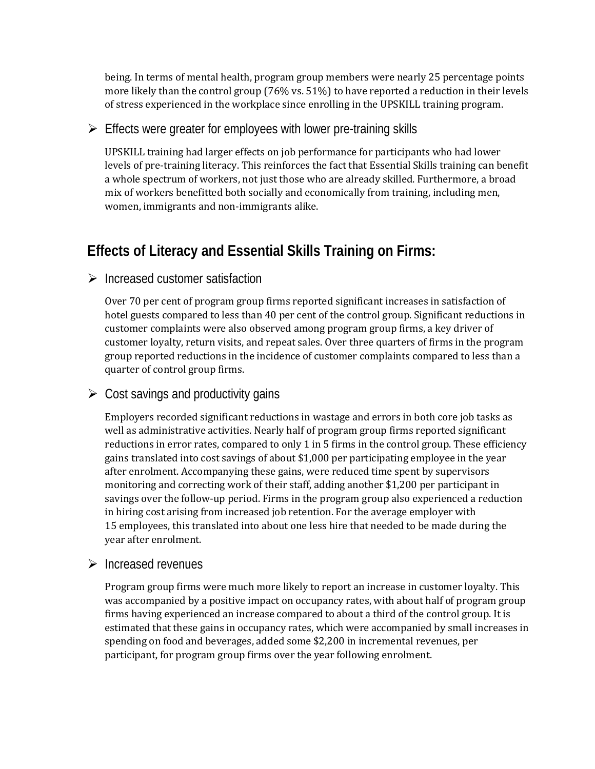being. In terms of mental health, program group members were nearly 25 percentage points more likely than the control group (76% vs. 51%) to have reported a reduction in their levels of stress experienced in the workplace since enrolling in the UPSKILL training program.

#### $\triangleright$  Effects were greater for employees with lower pre-training skills

UPSKILL training had larger effects on job performance for participants who had lower levels of pre-training literacy. This reinforces the fact that Essential Skills training can benefit a whole spectrum of workers, not just those who are already skilled. Furthermore, a broad mix of workers benefitted both socially and economically from training, including men, women, immigrants and non-immigrants alike.

# **Effects of Literacy and Essential Skills Training on Firms:**

#### $\triangleright$  Increased customer satisfaction

Over 70 per cent of program group firms reported significant increases in satisfaction of hotel guests compared to less than 40 per cent of the control group. Significant reductions in customer complaints were also observed among program group firms, a key driver of customer loyalty, return visits, and repeat sales. Over three quarters of firms in the program group reported reductions in the incidence of customer complaints compared to less than a quarter of control group firms.

#### $\triangleright$  Cost savings and productivity gains

Employers recorded significant reductions in wastage and errors in both core job tasks as well as administrative activities. Nearly half of program group firms reported significant reductions in error rates, compared to only 1 in 5 firms in the control group. These efficiency gains translated into cost savings of about \$1,000 per participating employee in the year after enrolment. Accompanying these gains, were reduced time spent by supervisors monitoring and correcting work of their staff, adding another \$1,200 per participant in savings over the follow-up period. Firms in the program group also experienced a reduction in hiring cost arising from increased job retention. For the average employer with 15 employees, this translated into about one less hire that needed to be made during the year after enrolment.

#### $\triangleright$  Increased revenues

Program group firms were much more likely to report an increase in customer loyalty. This was accompanied by a positive impact on occupancy rates, with about half of program group firms having experienced an increase compared to about a third of the control group. It is estimated that these gains in occupancy rates, which were accompanied by small increases in spending on food and beverages, added some \$2,200 in incremental revenues, per participant, for program group firms over the year following enrolment.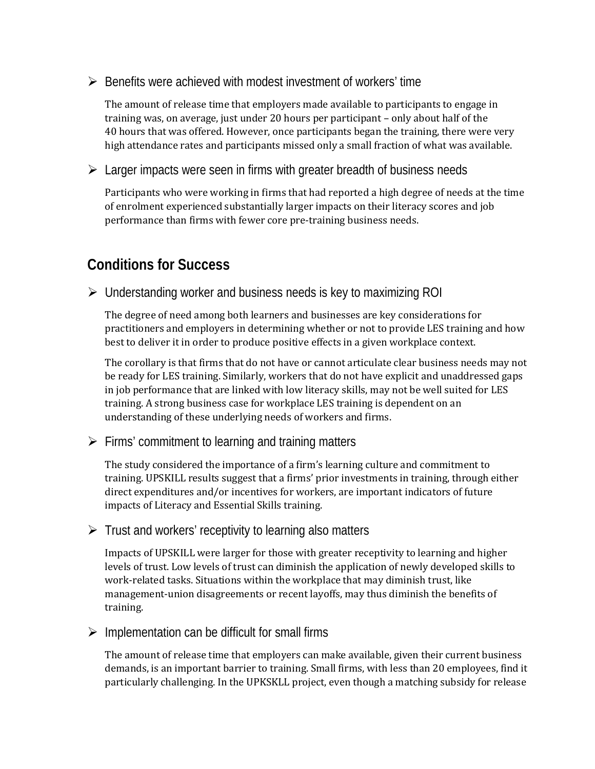$\triangleright$  Benefits were achieved with modest investment of workers' time

The amount of release time that employers made available to participants to engage in training was, on average, just under 20 hours per participant – only about half of the 40 hours that was offered. However, once participants began the training, there were very high attendance rates and participants missed only a small fraction of what was available.

 $\triangleright$  Larger impacts were seen in firms with greater breadth of business needs

Participants who were working in firms that had reported a high degree of needs at the time of enrolment experienced substantially larger impacts on their literacy scores and job performance than firms with fewer core pre-training business needs.

## **Conditions for Success**

Understanding worker and business needs is key to maximizing ROI

The degree of need among both learners and businesses are key considerations for practitioners and employers in determining whether or not to provide LES training and how best to deliver it in order to produce positive effects in a given workplace context.

The corollary is that firms that do not have or cannot articulate clear business needs may not be ready for LES training. Similarly, workers that do not have explicit and unaddressed gaps in job performance that are linked with low literacy skills, may not be well suited for LES training. A strong business case for workplace LES training is dependent on an understanding of these underlying needs of workers and firms.

 $\triangleright$  Firms' commitment to learning and training matters

The study considered the importance of a firm's learning culture and commitment to training. UPSKILL results suggest that a firms' prior investments in training, through either direct expenditures and/or incentives for workers, are important indicators of future impacts of Literacy and Essential Skills training.

 $\triangleright$  Trust and workers' receptivity to learning also matters

Impacts of UPSKILL were larger for those with greater receptivity to learning and higher levels of trust. Low levels of trust can diminish the application of newly developed skills to work-related tasks. Situations within the workplace that may diminish trust, like management-union disagreements or recent layoffs, may thus diminish the benefits of training.

 $\triangleright$  Implementation can be difficult for small firms

The amount of release time that employers can make available, given their current business demands, is an important barrier to training. Small firms, with less than 20 employees, find it particularly challenging. In the UPKSKLL project, even though a matching subsidy for release